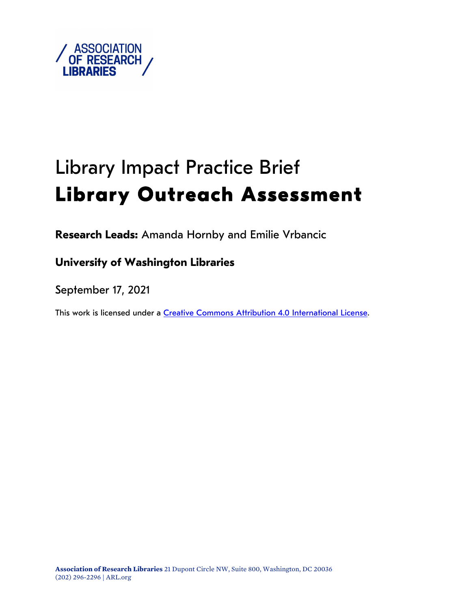

# Library Impact Practice Brief **Library Outreach Assessment**

**Research Leads:** Amanda Hornby and Emilie Vrbancic

## **University of Washington Libraries**

September 17, 2021

This work is licensed under a <u>Creative Commons Attribution 4.0 International License</u>.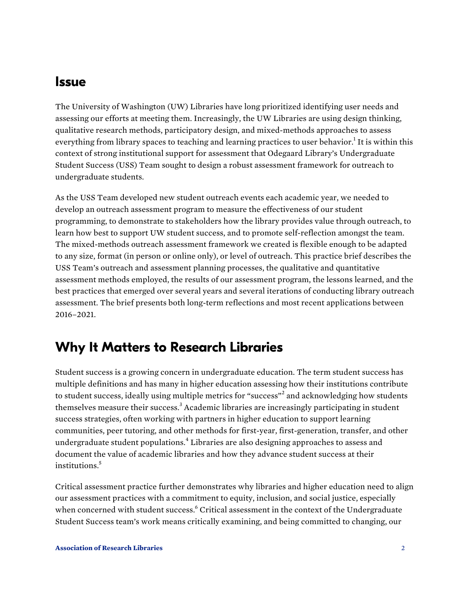## <span id="page-1-0"></span>**Issue**

 The University of Washington (UW) Libraries have long prioritized identifying user needs and assessing our efforts at meeting them. Increasingly, the UW Libraries are using design thinking, qualitative research methods, participatory design, and mixed-methods approaches to assess everything from library spaces to teaching and learning practices to user behavior.<sup>1</sup> It is within this context of strong institutional support for assessment that Odegaard Library's Undergraduate Student Success (USS) Team sought to design a robust assessment framework for outreach to undergraduate students.

 As the USS Team developed new student outreach events each academic year, we needed to develop an outreach assessment program to measure the effectiveness of our student programming, to demonstrate to stakeholders how the library provides value through outreach, to learn how best to support UW student success, and to promote self-reflection amongst the team. The mixed-methods outreach assessment framework we created is flexible enough to be adapted to any size, format (in person or online only), or level of outreach. This practice brief describes the USS Team's outreach and assessment planning processes, the qualitative and quantitative assessment methods employed, the results of our assessment program, the lessons learned, and the best practices that emerged over several years and several iterations of conducting library outreach assessment. The brief presents both long-term reflections and most recent applications between 2016–2021.

## **Why It Matters to Research Libraries**

 Student success is a growing concern in undergraduate education. The term student success has multiple definitions and has many in higher education assessing how their institutions contribute to student success, ideally using multiple metrics for "success"<sup>2</sup> and acknowledging how students themselves measure their success.<sup>3</sup> Academic libraries are increasingly participating in student success strategies, often working with partners in higher education to support learning communities, peer tutoring, and other methods for first-year, first-generation, transfer, and other undergraduate student populations. $^4$  Libraries are also designing approaches to assess and document the value of academic libraries and how they advance student success at their institutions.<sup>5</sup>

 Critical assessment practice further demonstrates why libraries and higher education need to align our assessment practices with a commitment to equity, inclusion, and social justice, especially when concerned with student success.<sup>6</sup> Critical assessment in the context of the Undergraduate Student Success team's work means critically examining, and being committed to changing, our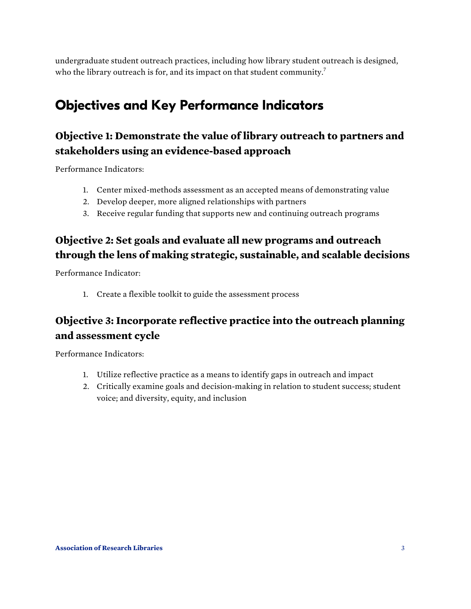<span id="page-2-0"></span> undergraduate student outreach practices, including how library student outreach is designed, who the library outreach is for, and its impact on that student community.<sup>7</sup>

# **Objectives and Key Performance Indicators**

## **Objective 1: Demonstrate the value of library outreach to partners and stakeholders using an evidence-based approach**

Performance Indicators:

- 1. Center mixed-methods assessment as an accepted means of demonstrating value
- 2. Develop deeper, more aligned relationships with partners
- 3. Receive regular funding that supports new and continuing outreach programs

#### **Objective 2: Set goals and evaluate all new programs and outreach through the lens of making strategic, sustainable, and scalable decisions**

Performance Indicator:

1. Create a flexible toolkit to guide the assessment process

## **Objective 3: Incorporate reflective practice into the outreach planning and assessment cycle**

Performance Indicators:

- 1. Utilize reflective practice as a means to identify gaps in outreach and impact
- 2. Critically examine goals and decision-making in relation to student success; student voice; and diversity, equity, and inclusion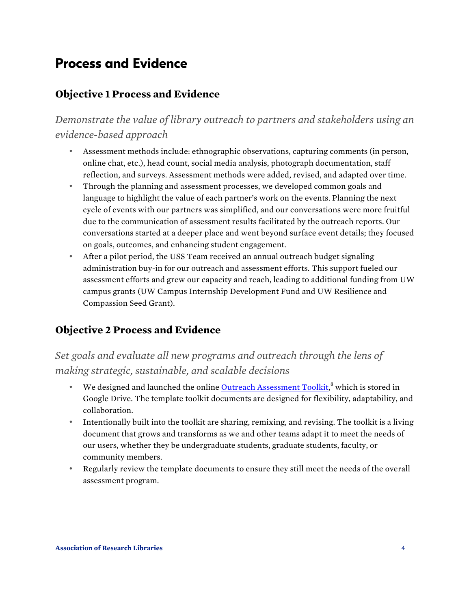# **Process and Evidence**

#### **Objective 1 Process and Evidence**

 *Demonstrate the value of library outreach to partners and stakeholders using an evidence-based approach* 

- • Assessment methods include: ethnographic observations, capturing comments (in person, online chat, etc.), head count, social media analysis, photograph documentation, staff reflection, and surveys. Assessment methods were added, revised, and adapted over time.
- • Through the planning and assessment processes, we developed common goals and language to highlight the value of each partner's work on the events. Planning the next cycle of events with our partners was simplified, and our conversations were more fruitful due to the communication of assessment results facilitated by the outreach reports. Our conversations started at a deeper place and went beyond surface event details; they focused on goals, outcomes, and enhancing student engagement.
- • After a pilot period, the USS Team received an annual outreach budget signaling administration buy-in for our outreach and assessment efforts. This support fueled our assessment efforts and grew our capacity and reach, leading to additional funding from UW campus grants (UW Campus Internship Development Fund and UW Resilience and Compassion Seed Grant).

#### **Objective 2 Process and Evidence**

#### *Set goals and evaluate all new programs and outreach through the lens of making strategic, sustainable, and scalable decisions*

- We designed and launched the onlin[e Outreach Assessment Toolkit](https://docs.google.com/document/d/1nbFBuUkRAurjcslBFJqgrbjPszgXoCIvptgoqsD5i8Q/edit#heading=h.95a33hyj29dq),<sup>8</sup> which is stored in Google Drive. The template toolkit documents are designed for flexibility, adaptability, and collaboration.
- • Intentionally built into the toolkit are sharing, remixing, and revising. The toolkit is a living document that grows and transforms as we and other teams adapt it to meet the needs of our users, whether they be undergraduate students, graduate students, faculty, or community members.
- • Regularly review the template documents to ensure they still meet the needs of the overall assessment program.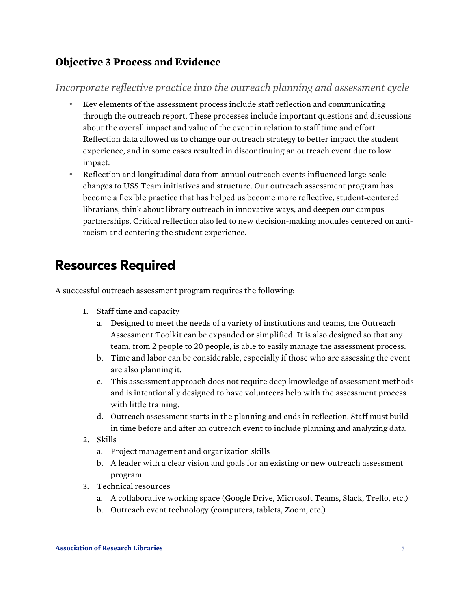#### <span id="page-4-0"></span> **Objective 3 Process and Evidence**

#### *Incorporate reflective practice into the outreach planning and assessment cycle*

- • Key elements of the assessment process include staff reflection and communicating through the outreach report. These processes include important questions and discussions about the overall impact and value of the event in relation to staff time and effort. Reflection data allowed us to change our outreach strategy to better impact the student experience, and in some cases resulted in discontinuing an outreach event due to low impact.
- • Reflection and longitudinal data from annual outreach events influenced large scale changes to USS Team initiatives and structure. Our outreach assessment program has become a flexible practice that has helped us become more reflective, student-centered librarians; think about library outreach in innovative ways; and deepen our campus partnerships. Critical reflection also led to new decision-making modules centered on anti-racism and centering the student experience.

# **Resources Required**

A successful outreach assessment program requires the following:

- 1. Staff time and capacity
	- a. Designed to meet the needs of a variety of institutions and teams, the Outreach Assessment Toolkit can be expanded or simplified. It is also designed so that any team, from 2 people to 20 people, is able to easily manage the assessment process.
	- b. Time and labor can be considerable, especially if those who are assessing the event are also planning it.
	- c. This assessment approach does not require deep knowledge of assessment methods and is intentionally designed to have volunteers help with the assessment process with little training.
	- d. Outreach assessment starts in the planning and ends in reflection. Staff must build in time before and after an outreach event to include planning and analyzing data.
- 2. Skills
	- a. Project management and organization skills
	- b. A leader with a clear vision and goals for an existing or new outreach assessment program
- 3. Technical resources
	- a. A collaborative working space (Google Drive, Microsoft Teams, Slack, Trello, etc.)
	- b. Outreach event technology (computers, tablets, Zoom, etc.)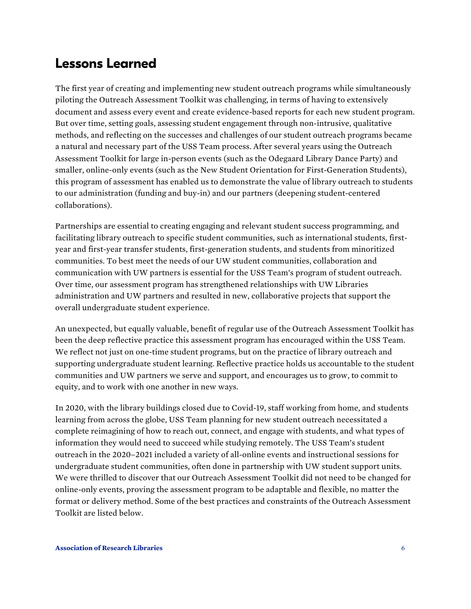# **Lessons Learned**

 The first year of creating and implementing new student outreach programs while simultaneously piloting the Outreach Assessment Toolkit was challenging, in terms of having to extensively document and assess every event and create evidence-based reports for each new student program. But over time, setting goals, assessing student engagement through non-intrusive, qualitative methods, and reflecting on the successes and challenges of our student outreach programs became a natural and necessary part of the USS Team process. After several years using the Outreach Assessment Toolkit for large in-person events (such as the Odegaard Library Dance Party) and smaller, online-only events (such as the New Student Orientation for First-Generation Students), this program of assessment has enabled us to demonstrate the value of library outreach to students to our administration (funding and buy-in) and our partners (deepening student-centered collaborations).

 Partnerships are essential to creating engaging and relevant student success programming, and facilitating library outreach to specific student communities, such as international students, first- year and first-year transfer students, first-generation students, and students from minoritized communities. To best meet the needs of our UW student communities, collaboration and communication with UW partners is essential for the USS Team's program of student outreach. Over time, our assessment program has strengthened relationships with UW Libraries administration and UW partners and resulted in new, collaborative projects that support the overall undergraduate student experience.

 An unexpected, but equally valuable, benefit of regular use of the Outreach Assessment Toolkit has been the deep reflective practice this assessment program has encouraged within the USS Team. We reflect not just on one-time student programs, but on the practice of library outreach and supporting undergraduate student learning. Reflective practice holds us accountable to the student communities and UW partners we serve and support, and encourages us to grow, to commit to equity, and to work with one another in new ways.

 In 2020, with the library buildings closed due to Covid-19, staff working from home, and students learning from across the globe, USS Team planning for new student outreach necessitated a complete reimagining of how to reach out, connect, and engage with students, and what types of information they would need to succeed while studying remotely. The USS Team's student outreach in the 2020–2021 included a variety of all-online events and instructional sessions for undergraduate student communities, often done in partnership with UW student support units. We were thrilled to discover that our Outreach Assessment Toolkit did not need to be changed for online-only events, proving the assessment program to be adaptable and flexible, no matter the format or delivery method. Some of the best practices and constraints of the Outreach Assessment Toolkit are listed below.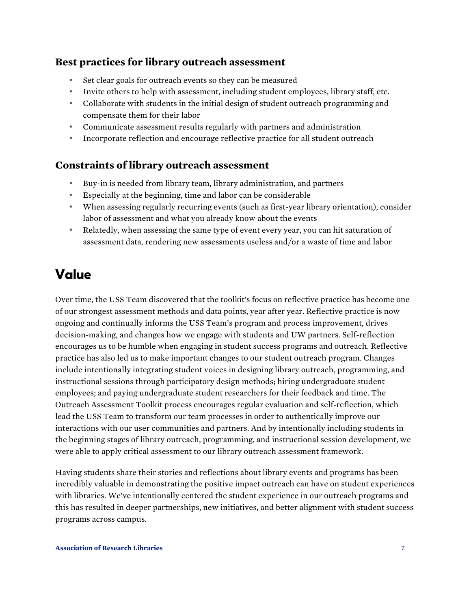#### **Best practices for library outreach assessment**

- Set clear goals for outreach events so they can be measured
- Invite others to help with assessment, including student employees, library staff, etc.
- • Collaborate with students in the initial design of student outreach programming and compensate them for their labor
- Communicate assessment results regularly with partners and administration
- Incorporate reflection and encourage reflective practice for all student outreach

#### **Constraints of library outreach assessment**

- Buy-in is needed from library team, library administration, and partners
- Especially at the beginning, time and labor can be considerable
- • When assessing regularly recurring events (such as first-year library orientation), consider labor of assessment and what you already know about the events
- • Relatedly, when assessing the same type of event every year, you can hit saturation of assessment data, rendering new assessments useless and/or a waste of time and labor

# **Value**

 Over time, the USS Team discovered that the toolkit's focus on reflective practice has become one of our strongest assessment methods and data points, year after year. Reflective practice is now ongoing and continually informs the USS Team's program and process improvement, drives decision-making, and changes how we engage with students and UW partners. Self-reflection encourages us to be humble when engaging in student success programs and outreach. Reflective practice has also led us to make important changes to our student outreach program. Changes include intentionally integrating student voices in designing library outreach, programming, and instructional sessions through participatory design methods; hiring undergraduate student employees; and paying undergraduate student researchers for their feedback and time. The Outreach Assessment Toolkit process encourages regular evaluation and self-reflection, which lead the USS Team to transform our team processes in order to authentically improve our interactions with our user communities and partners. And by intentionally including students in the beginning stages of library outreach, programming, and instructional session development, we were able to apply critical assessment to our library outreach assessment framework.

 Having students share their stories and reflections about library events and programs has been incredibly valuable in demonstrating the positive impact outreach can have on student experiences with libraries. We've intentionally centered the student experience in our outreach programs and this has resulted in deeper partnerships, new initiatives, and better alignment with student success programs across campus.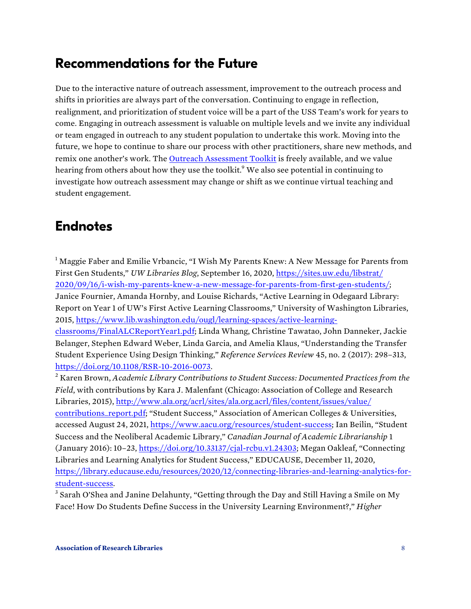# <span id="page-7-0"></span>**Recommendations for the Future**

 Due to the interactive nature of outreach assessment, improvement to the outreach process and shifts in priorities are always part of the conversation. Continuing to engage in reflection, realignment, and prioritization of student voice will be a part of the USS Team's work for years to come. Engaging in outreach assessment is valuable on multiple levels and we invite any individual or team engaged in outreach to any student population to undertake this work. Moving into the remix one another's work. The [Outreach Assessment Toolkit i](https://www.lib.washington.edu/ougl/about/staff/undergraduate-student-success-team)s freely available, and we value hearing from others about how they use the toolkit.<sup>9</sup> We also see potential in continuing to investigate how outreach assessment may change or shift as we continue virtual teaching and future, we hope to continue to share our process with other practitioners, share new methods, and student engagement.

# **Endnotes**

 $1$  Maggie Faber and Emilie Vrbancic, "I Wish My Parents Knew: A New Message for Parents from  First Gen Students," *UW Libraries Blog*, September 16, 2020, https://sites.uw.edu/libstrat/ Janice Fournier, Amanda Hornby, and Louise Richards, "Active Learning in Odegaard Library: Report on Year 1 of UW's First Active Learning Classrooms," University of Washington Libraries, [classrooms/FinalALCReportYear1.pdf; Linda Whang, Christine Tawatao, John](https://www.lib.washington.edu/ougl/learning-spaces/active-learning-classrooms/FinalALCReportYear1.pdf) Danneker, Jackie Belanger, Stephen Edward Weber, Linda Garcia, and Amelia Klaus, "Understanding the Transfer Student Experience Using Design Thinking," *Reference Services Review* 45, no. 2 (2017): 298–313, <u>https://doi.org/10.1108/RSR-10-2016-0073</u>.<br><sup>2</sup> Karen Brown, Academic Library Contributions to Student Success: Documented Practices from the Libraries, 2015), http://www.ala.org/acrl/sites/ala.org.acrl/files/content/issues/value/ accessed August 24, 2021, [https://www.aacu.org/resources/student-success;](https://www.aacu.org/resources/student-success) Ian Beilin, "Student Success and the Neoliberal Academic Library," *Canadian Journal of Academic Librarianship* 1 (January 2016): 10–23[, https://doi.org/10.33137/cjal-rcbu.v1.24303;](https://doi.org/10.33137/cjal-rcbu.v1.24303) Megan Oakleaf, "Connecting Libraries and Learning Analytics for Student Success," EDUCAUSE, December 11, 2020, [2020/09/16/i-wish-my-parents-knew-a-new-message-for-parents-from-first-gen-students/;](https://sites.uw.edu/libstrat/ 2020/09/16/i-wish-my-parents-knew-a-new-message-for-parents-from-first-gen-students/) 2015, https://www.lib.washington.edu/ougl/learning-spaces/active-learning-*Field*, with contributions by Kara J. Malenfant (Chicago: Association of College and Research [contributions\\_report.pdf; "Student Success," Association of American Colleges & Univer](http://www.ala.org/acrl/sites/ala.org.acrl/files/content/issues/value/contributions_report.pdf)sities, https://library.educause.edu/resources/2020/12/connecting-libraries-and-learning-analytics-for-

<u>student-success</u>.<br><sup>3</sup> Sarah O'Shea and Janine Delahunty, "Getting through the Day and Still Having a Smile on My Face! How Do Students Define Success in the University Learning Environment?," *Higher*